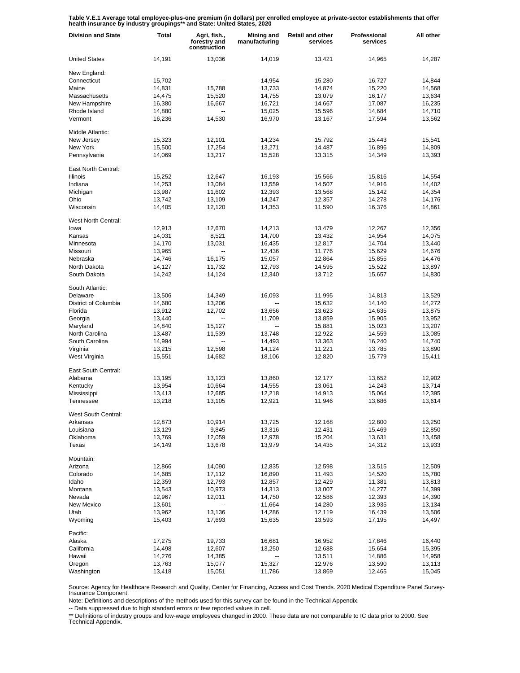**Table V.E.1 Average total employee-plus-one premium (in dollars) per enrolled employee at private-sector establishments that offer health insurance by industry groupings\*\* and State: United States, 2020**

| <b>Division and State</b> | <b>Total</b> | Agri, fish.,<br>forestry and<br>construction | Mining and<br>manufacturing | Retail and other<br>services | Professional<br>services | All other |
|---------------------------|--------------|----------------------------------------------|-----------------------------|------------------------------|--------------------------|-----------|
| <b>United States</b>      | 14,191       | 13,036                                       | 14.019                      | 13,421                       | 14,965                   | 14,287    |
| New England:              |              |                                              |                             |                              |                          |           |
| Connecticut               | 15,702       | --                                           | 14,954                      | 15,280                       | 16,727                   | 14,844    |
| Maine                     | 14,831       | 15,788                                       | 13,733                      | 14,874                       | 15,220                   | 14,568    |
| Massachusetts             | 14,475       | 15,520                                       | 14,755                      | 13,079                       | 16,177                   | 13,634    |
| New Hampshire             | 16,380       | 16,667                                       | 16,721                      | 14,667                       | 17,087                   | 16,235    |
| Rhode Island              | 14,880       | $\overline{a}$                               | 15,025                      | 15,596                       | 14,684                   | 14,710    |
| Vermont                   | 16,236       | 14,530                                       | 16,970                      | 13,167                       | 17,594                   | 13,562    |
| Middle Atlantic:          |              |                                              |                             |                              |                          |           |
| New Jersey                | 15,323       | 12,101                                       | 14,234                      | 15,792                       | 15,443                   | 15,541    |
| New York                  | 15,500       | 17,254                                       | 13,271                      | 14,487                       | 16,896                   | 14,809    |
| Pennsylvania              | 14,069       | 13,217                                       | 15,528                      | 13,315                       | 14,349                   | 13,393    |
| East North Central:       |              |                                              |                             |                              |                          |           |
| <b>Illinois</b>           | 15,252       | 12,647                                       | 16,193                      | 15,566                       | 15,816                   | 14,554    |
| Indiana                   | 14,253       | 13,084                                       | 13,559                      | 14,507                       | 14,916                   | 14,402    |
| Michigan                  | 13,987       | 11,602                                       | 12,393                      | 13,568                       | 15,142                   | 14,354    |
| Ohio                      | 13,742       | 13,109                                       | 14,247                      | 12,357                       | 14,278                   | 14,176    |
| Wisconsin                 | 14,405       | 12,120                                       | 14,353                      | 11,590                       | 16,376                   | 14,861    |
| West North Central:       |              |                                              |                             |                              |                          |           |
| lowa                      | 12,913       | 12,670                                       | 14,213                      | 13,479                       | 12,267                   | 12,356    |
| Kansas                    | 14,031       | 8,521                                        | 14,700                      | 13,432                       | 14,954                   | 14,075    |
| Minnesota                 | 14,170       | 13,031                                       | 16,435                      | 12,817                       | 14,704                   | 13,440    |
| Missouri                  | 13,965       | --                                           | 12,436                      | 11,776                       | 15,629                   | 14,676    |
| Nebraska                  | 14,746       | 16,175                                       | 15,057                      | 12,864                       | 15,855                   | 14,476    |
| North Dakota              | 14,127       | 11,732                                       | 12,793                      | 14,595                       | 15,522                   | 13,897    |
| South Dakota              | 14,242       | 14,124                                       | 12,340                      | 13,712                       | 15,657                   | 14,830    |
| South Atlantic:           |              |                                              |                             |                              |                          |           |
| Delaware                  | 13,506       | 14,349                                       | 16,093                      | 11,995                       | 14,813                   | 13,529    |
| District of Columbia      | 14,680       | 13,206                                       |                             | 15,632                       | 14,140                   | 14,272    |
| Florida                   | 13,912       | 12,702                                       | 13,656                      | 13,623                       | 14,635                   | 13,875    |
| Georgia                   | 13,440       | ш,                                           | 11,709                      | 13,859                       | 15,905                   | 13,952    |
| Maryland                  | 14,840       | 15,127                                       | $\overline{\phantom{a}}$    | 15,881                       | 15,023                   | 13,207    |
| North Carolina            | 13,487       | 11,539                                       | 13,748                      | 12,922                       | 14,559                   | 13,085    |
| South Carolina            | 14,994       |                                              | 14,493                      | 13,363                       | 16,240                   | 14,740    |
| Virginia                  | 13,215       | 12,598                                       | 14,124                      | 11,221                       | 13,785                   | 13,890    |
| West Virginia             | 15,551       | 14,682                                       | 18,106                      | 12,820                       | 15,779                   | 15,411    |
|                           |              |                                              |                             |                              |                          |           |
| East South Central:       |              |                                              |                             |                              |                          |           |
| Alabama                   | 13,195       | 13,123                                       | 13,860                      | 12,177                       | 13,652                   | 12,902    |
| Kentucky                  | 13,954       | 10,664                                       | 14,555                      | 13,061                       | 14,243                   | 13,714    |
| Mississippi               | 13,413       | 12,685                                       | 12,218                      | 14,913                       | 15,064                   | 12,395    |
| Tennessee                 | 13,218       | 13,105                                       | 12,921                      | 11,946                       | 13,686                   | 13,614    |
| West South Central:       |              |                                              |                             |                              |                          |           |
| Arkansas                  | 12,873       | 10,914                                       | 13,725                      | 12,168                       | 12,800                   | 13,250    |
| Louisiana                 | 13,129       | 9,845                                        | 13,316                      | 12,431                       | 15,469                   | 12,850    |
| Oklahoma                  | 13,769       | 12,059                                       | 12,978                      | 15,204                       | 13,631                   | 13,458    |
| Texas                     | 14,149       | 13,678                                       | 13,979                      | 14,435                       | 14,312                   | 13,933    |
| Mountain:                 |              |                                              |                             |                              |                          |           |
| Arizona                   | 12,866       | 14,090                                       | 12,835                      | 12,598                       | 13,515                   | 12,509    |
| Colorado                  | 14,685       | 17,112                                       | 16,890                      | 11,493                       | 14,520                   | 15,780    |
| Idaho                     | 12,359       | 12,793                                       | 12,857                      | 12,429                       | 11,381                   | 13,813    |
| Montana                   | 13,543       | 10,973                                       | 14,313                      | 13,007                       | 14,277                   | 14,399    |
| Nevada                    | 12,967       | 12,011                                       | 14,750                      | 12,586                       | 12,393                   | 14,390    |
| New Mexico                | 13,601       | --                                           | 11,664                      | 14,280                       | 13,935                   | 13,134    |
| Utah                      | 13,962       | 13,136                                       | 14,286                      | 12,119                       | 16,439                   | 13,506    |
| Wyoming                   | 15,403       | 17,693                                       | 15,635                      | 13,593                       | 17,195                   | 14,497    |
|                           |              |                                              |                             |                              |                          |           |
| Pacific:                  |              |                                              |                             |                              |                          |           |
| Alaska                    | 17,275       | 19,733                                       | 16,681                      | 16,952                       | 17,846                   | 16,440    |
| California                | 14,498       | 12,607                                       | 13,250                      | 12,688                       | 15,654                   | 15,395    |
| Hawaii                    | 14,276       | 14,385                                       | --                          | 13,511                       | 14,886                   | 14,958    |
| Oregon                    | 13,763       | 15,077                                       | 15,327                      | 12,976                       | 13,590                   | 13,113    |
| Washington                | 13,418       | 15,051                                       | 11,786                      | 13,869                       | 12,465                   | 15,045    |

Source: Agency for Healthcare Research and Quality, Center for Financing, Access and Cost Trends. 2020 Medical Expenditure Panel Survey-Insurance Component.

Note: Definitions and descriptions of the methods used for this survey can be found in the Technical Appendix.

-- Data suppressed due to high standard errors or few reported values in cell.

\*\* Definitions of industry groups and low-wage employees changed in 2000. These data are not comparable to IC data prior to 2000. See Technical Appendix.